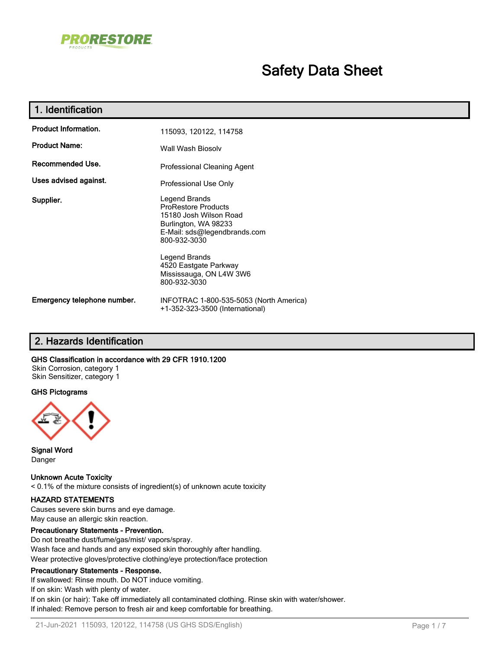

# **Safety Data Sheet**

| 1. Identification           |                                                                                                                                                                                                                                    |  |  |
|-----------------------------|------------------------------------------------------------------------------------------------------------------------------------------------------------------------------------------------------------------------------------|--|--|
| <b>Product Information.</b> | 115093, 120122, 114758                                                                                                                                                                                                             |  |  |
| <b>Product Name:</b>        | Wall Wash Biosoly                                                                                                                                                                                                                  |  |  |
| Recommended Use.            | Professional Cleaning Agent                                                                                                                                                                                                        |  |  |
| Uses advised against.       | Professional Use Only                                                                                                                                                                                                              |  |  |
| Supplier.                   | Legend Brands<br><b>ProRestore Products</b><br>15180 Josh Wilson Road<br>Burlington, WA 98233<br>E-Mail: sds@legendbrands.com<br>800-932-3030<br>Legend Brands<br>4520 Eastgate Parkway<br>Mississauga, ON L4W 3W6<br>800-932-3030 |  |  |
| Emergency telephone number. | INFOTRAC 1-800-535-5053 (North America)<br>+1-352-323-3500 (International)                                                                                                                                                         |  |  |

## **2. Hazards Identification**

#### **GHS Classification in accordance with 29 CFR 1910.1200**

Skin Corrosion, category 1 Skin Sensitizer, category 1

#### **GHS Pictograms**



**Signal Word** Danger

**Unknown Acute Toxicity** < 0.1% of the mixture consists of ingredient(s) of unknown acute toxicity

## **HAZARD STATEMENTS**

Causes severe skin burns and eye damage. May cause an allergic skin reaction.

#### **Precautionary Statements - Prevention.**

Do not breathe dust/fume/gas/mist/ vapors/spray. Wash face and hands and any exposed skin thoroughly after handling. Wear protective gloves/protective clothing/eye protection/face protection

#### **Precautionary Statements - Response.**

If swallowed: Rinse mouth. Do NOT induce vomiting. If on skin: Wash with plenty of water. If on skin (or hair): Take off immediately all contaminated clothing. Rinse skin with water/shower. If inhaled: Remove person to fresh air and keep comfortable for breathing.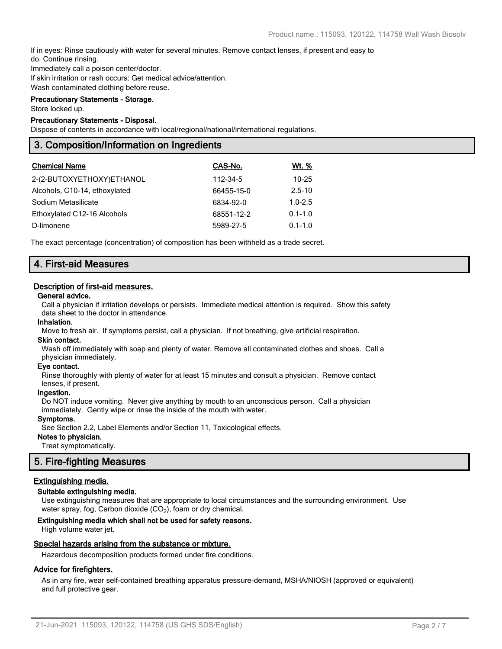If in eyes: Rinse cautiously with water for several minutes. Remove contact lenses, if present and easy to do. Continue rinsing.

Immediately call a poison center/doctor.

If skin irritation or rash occurs: Get medical advice/attention.

Wash contaminated clothing before reuse.

## **Precautionary Statements - Storage.**

Store locked up.

### **Precautionary Statements - Disposal.**

Dispose of contents in accordance with local/regional/national/international regulations.

## **3. Composition/Information on Ingredients**

| <b>Chemical Name</b>          | CAS-No.    | Wt. %       |
|-------------------------------|------------|-------------|
| 2-(2-BUTOXYETHOXY)ETHANOL     | 112-34-5   | $10 - 25$   |
| Alcohols, C10-14, ethoxylated | 66455-15-0 | $2.5 - 10$  |
| Sodium Metasilicate           | 6834-92-0  | $1.0 - 2.5$ |
| Ethoxylated C12-16 Alcohols   | 68551-12-2 | $0.1 - 1.0$ |
| D-limonene                    | 5989-27-5  | $0.1 - 1.0$ |

The exact percentage (concentration) of composition has been withheld as a trade secret.

## **4. First-aid Measures**

#### **Description of first-aid measures.**

#### **General advice.**

Call a physician if irritation develops or persists. Immediate medical attention is required. Show this safety data sheet to the doctor in attendance.

#### **Inhalation.**

Move to fresh air. If symptoms persist, call a physician. If not breathing, give artificial respiration.

#### **Skin contact.**

Wash off immediately with soap and plenty of water. Remove all contaminated clothes and shoes. Call a physician immediately.

#### **Eye contact.**

Rinse thoroughly with plenty of water for at least 15 minutes and consult a physician. Remove contact lenses, if present.

#### **Ingestion.**

Do NOT induce vomiting. Never give anything by mouth to an unconscious person. Call a physician immediately. Gently wipe or rinse the inside of the mouth with water.

#### **Symptoms.**

See Section 2.2, Label Elements and/or Section 11, Toxicological effects.

### **Notes to physician.**

Treat symptomatically.

## **5. Fire-fighting Measures**

#### **Extinguishing media.**

#### **Suitable extinguishing media.**

Use extinguishing measures that are appropriate to local circumstances and the surrounding environment. Use water spray, fog, Carbon dioxide (CO<sub>2</sub>), foam or dry chemical.

#### **Extinguishing media which shall not be used for safety reasons.**

High volume water jet.

#### **Special hazards arising from the substance or mixture.**

Hazardous decomposition products formed under fire conditions.

### **Advice for firefighters.**

As in any fire, wear self-contained breathing apparatus pressure-demand, MSHA/NIOSH (approved or equivalent) and full protective gear.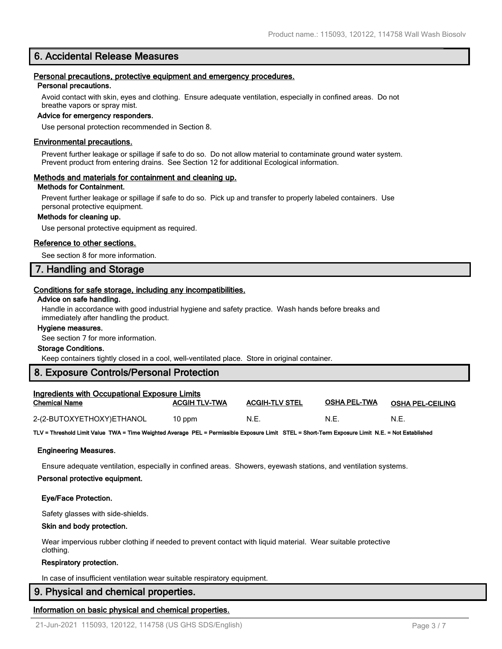## **6. Accidental Release Measures**

## **Personal precautions, protective equipment and emergency procedures.**

## **Personal precautions.**

Avoid contact with skin, eyes and clothing. Ensure adequate ventilation, especially in confined areas. Do not breathe vapors or spray mist.

#### **Advice for emergency responders.**

Use personal protection recommended in Section 8.

#### **Environmental precautions.**

Prevent further leakage or spillage if safe to do so. Do not allow material to contaminate ground water system. Prevent product from entering drains. See Section 12 for additional Ecological information.

#### **Methods and materials for containment and cleaning up.**

#### **Methods for Containment.**

Prevent further leakage or spillage if safe to do so. Pick up and transfer to properly labeled containers. Use personal protective equipment.

#### **Methods for cleaning up.**

Use personal protective equipment as required.

#### **Reference to other sections.**

See section 8 for more information.

## **7. Handling and Storage**

#### **Conditions for safe storage, including any incompatibilities.**

#### **Advice on safe handling.**

Handle in accordance with good industrial hygiene and safety practice. Wash hands before breaks and immediately after handling the product.

#### **Hygiene measures.**

See section 7 for more information.

#### **Storage Conditions.**

Keep containers tightly closed in a cool, well-ventilated place. Store in original container.

## **8. Exposure Controls/Personal Protection**

| <b>Ingredients with Occupational Exposure Limits</b> |                      |                       |              |                         |  |
|------------------------------------------------------|----------------------|-----------------------|--------------|-------------------------|--|
| <b>Chemical Name</b>                                 | <b>ACGIH TLV-TWA</b> | <b>ACGIH-TLV STEL</b> | OSHA PEL-TWA | <b>OSHA PEL-CEILING</b> |  |
| 2-(2-BUTOXYETHOXY)ETHANOL                            | 10 ppm               | N.E.                  | N.E          | N.E.                    |  |

**TLV = Threshold Limit Value TWA = Time Weighted Average PEL = Permissible Exposure Limit STEL = Short-Term Exposure Limit N.E. = Not Established**

#### **Engineering Measures.**

Ensure adequate ventilation, especially in confined areas. Showers, eyewash stations, and ventilation systems.

#### **Personal protective equipment.**

#### **Eye/Face Protection.**

Safety glasses with side-shields.

#### **Skin and body protection.**

Wear impervious rubber clothing if needed to prevent contact with liquid material. Wear suitable protective clothing.

#### **Respiratory protection.**

In case of insufficient ventilation wear suitable respiratory equipment.

## **9. Physical and chemical properties.**

## **Information on basic physical and chemical properties.**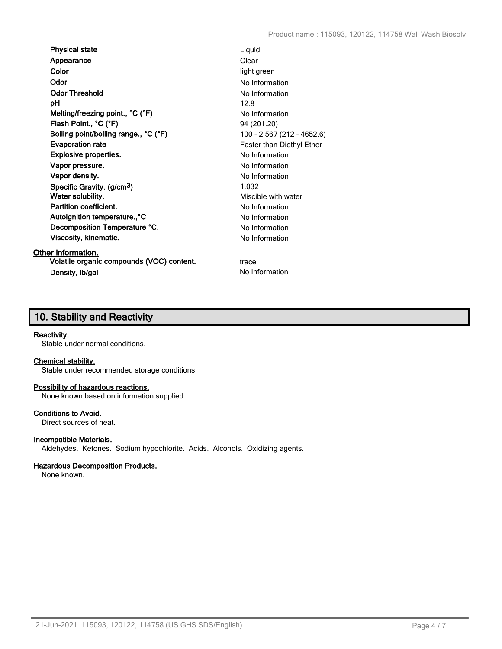**Physical state** Liquid **Appearance** Clear **Color** light green **Odor** No Information **Odor Threshold** No Information **pH** 12.8 **Melting/freezing point., °C (°F)** No Information **Flash Point., °C (°F)** 94 (201.20) **Boiling point/boiling range., °C (°F)** 100 - 2,567 (212 - 4652.6) **Evaporation rate** Faster than Diethyl Ether **Explosive properties.** The state of the state of the No Information **Vapor pressure.** No Information **Vapor density.** No Information **Specific Gravity. (g/cm3)** 1.032 **Water solubility.** Miscible with water **Partition coefficient.** No Information Autoignition temperature.,<sup>°</sup>C No Information **Decomposition Temperature °C.** No Information **Viscosity, kinematic.** No Information

## **Other information.**

**Volatile organic compounds (VOC) content.** trace **Density, Ib/gal** No Information

## **10. Stability and Reactivity**

## **Reactivity.**

Stable under normal conditions.

## **Chemical stability.**

Stable under recommended storage conditions.

## **Possibility of hazardous reactions.**

None known based on information supplied.

## **Conditions to Avoid.**

Direct sources of heat.

## **Incompatible Materials.**

Aldehydes. Ketones. Sodium hypochlorite. Acids. Alcohols. Oxidizing agents.

## **Hazardous Decomposition Products.**

None known.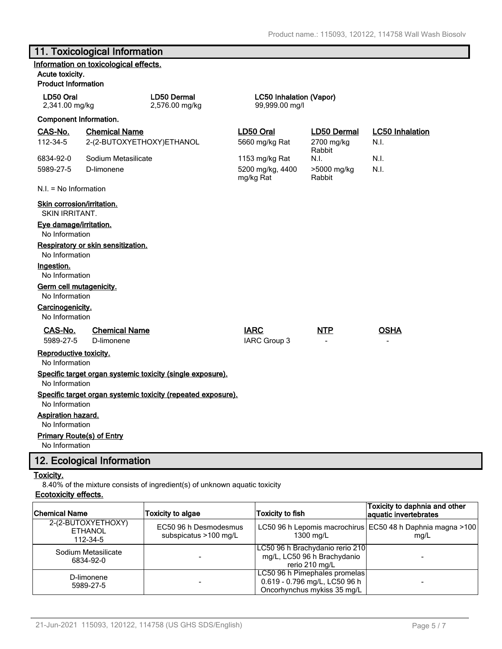## **11. Toxicological Information**

| Information on toxicological effects.<br>Acute toxicity.                       |                                                   |                                      |                                                  |                                     |                                |
|--------------------------------------------------------------------------------|---------------------------------------------------|--------------------------------------|--------------------------------------------------|-------------------------------------|--------------------------------|
| <b>Product Information</b>                                                     |                                                   |                                      |                                                  |                                     |                                |
| LD50 Oral<br>2,341.00 mg/kg                                                    |                                                   | <b>LD50 Dermal</b><br>2,576.00 mg/kg | <b>LC50 Inhalation (Vapor)</b><br>99,999.00 mg/l |                                     |                                |
| <b>Component Information.</b>                                                  |                                                   |                                      |                                                  |                                     |                                |
| CAS-No.<br>112-34-5                                                            | <b>Chemical Name</b><br>2-(2-BUTOXYETHOXY)ETHANOL |                                      | LD50 Oral<br>5660 mg/kg Rat                      | LD50 Dermal<br>2700 mg/kg<br>Rabbit | <b>LC50 Inhalation</b><br>N.I. |
| 6834-92-0<br>5989-27-5                                                         | Sodium Metasilicate<br>D-limonene                 |                                      | 1153 mg/kg Rat<br>5200 mg/kg, 4400<br>mg/kg Rat  | N.I.<br>>5000 mg/kg<br>Rabbit       | N.I.<br>N.I.                   |
| N.I. = No Information                                                          |                                                   |                                      |                                                  |                                     |                                |
| <b>Skin corrosion/irritation.</b><br><b>SKIN IRRITANT.</b>                     |                                                   |                                      |                                                  |                                     |                                |
| Eye damage/irritation.<br>No Information                                       |                                                   |                                      |                                                  |                                     |                                |
| No Information                                                                 | Respiratory or skin sensitization.                |                                      |                                                  |                                     |                                |
| Ingestion.<br>No Information                                                   |                                                   |                                      |                                                  |                                     |                                |
| Germ cell mutagenicity.<br>No Information                                      |                                                   |                                      |                                                  |                                     |                                |
| Carcinogenicity.<br>No Information                                             |                                                   |                                      |                                                  |                                     |                                |
| CAS-No.<br>5989-27-5                                                           | <b>Chemical Name</b><br>D-limonene                |                                      | <b>IARC</b><br>IARC Group 3                      | <b>NTP</b>                          | <b>OSHA</b>                    |
| Reproductive toxicity.<br>No Information                                       |                                                   |                                      |                                                  |                                     |                                |
| Specific target organ systemic toxicity (single exposure).<br>No Information   |                                                   |                                      |                                                  |                                     |                                |
| Specific target organ systemic toxicity (repeated exposure).<br>No Information |                                                   |                                      |                                                  |                                     |                                |
| Aspiration hazard.<br>No Information                                           |                                                   |                                      |                                                  |                                     |                                |
| <b>Primary Route(s) of Entry</b><br>No Information                             |                                                   |                                      |                                                  |                                     |                                |

## **12. Ecological Information**

## **Toxicity.**

8.40% of the mixture consists of ingredient(s) of unknown aquatic toxicity **Ecotoxicity effects.**

| <b>Chemical Name</b>                             | <b>Toxicity to algae</b>                       | <b>Toxicity to fish</b>                                                                       | Toxicity to daphnia and other<br>aquatic invertebrates                |
|--------------------------------------------------|------------------------------------------------|-----------------------------------------------------------------------------------------------|-----------------------------------------------------------------------|
| 2-(2-BUTOXYETHOXY)<br><b>ETHANOL</b><br>112-34-5 | EC50 96 h Desmodesmus<br>subspicatus >100 mg/L | 1300 mg/L                                                                                     | LC50 96 h Lepomis macrochirus   EC50 48 h Daphnia magna > 100<br>mq/L |
| Sodium Metasilicate<br>6834-92-0                 |                                                | LC50 96 h Brachydanio rerio 210<br>mg/L, LC50 96 h Brachydanio<br>rerio 210 mg/L              |                                                                       |
| D-limonene<br>5989-27-5                          |                                                | LC50 96 h Pimephales promelas<br>0.619 - 0.796 mg/L, LC50 96 h<br>Oncorhynchus mykiss 35 mg/L |                                                                       |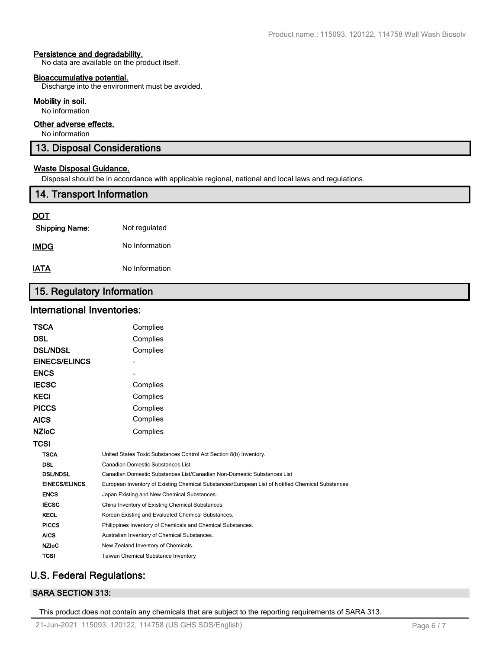#### **Persistence and degradability.**

No data are available on the product itself.

#### **Bioaccumulative potential.**

Discharge into the environment must be avoided.

#### **Mobility in soil.**

No information

## **Other adverse effects.**

No information

## **13. Disposal Considerations**

### **Waste Disposal Guidance.**

Disposal should be in accordance with applicable regional, national and local laws and regulations.

## **14. Transport Information**

## **DOT**

| <b>Shipping Name:</b> | Not regulated  |
|-----------------------|----------------|
| IMDG                  | No Information |
| IATA                  | No Information |

## **15. Regulatory Information**

## **International Inventories:**

| TSCA                 | Complies                                                                                          |
|----------------------|---------------------------------------------------------------------------------------------------|
| DSL                  | Complies                                                                                          |
| <b>DSL/NDSL</b>      | Complies                                                                                          |
| <b>EINECS/ELINCS</b> |                                                                                                   |
| <b>ENCS</b>          |                                                                                                   |
| <b>IECSC</b>         | Complies                                                                                          |
| KECI                 | Complies                                                                                          |
| <b>PICCS</b>         | Complies                                                                                          |
| AICS                 | Complies                                                                                          |
| <b>NZIOC</b>         | Complies                                                                                          |
| TCSI                 |                                                                                                   |
| <b>TSCA</b>          | United States Toxic Substances Control Act Section 8(b) Inventory.                                |
| <b>DSL</b>           | Canadian Domestic Substances List.                                                                |
| <b>DSL/NDSL</b>      | Canadian Domestic Substances List/Canadian Non-Domestic Substances List                           |
| <b>EINECS/ELINCS</b> | European Inventory of Existing Chemical Substances/European List of Notified Chemical Substances. |
| <b>ENCS</b>          | Japan Existing and New Chemical Substances.                                                       |
| <b>IECSC</b>         | China Inventory of Existing Chemical Substances.                                                  |
| <b>KECL</b>          | Korean Existing and Evaluated Chemical Substances.                                                |
| <b>PICCS</b>         | Philippines Inventory of Chemicals and Chemical Substances.                                       |
| <b>AICS</b>          | Australian Inventory of Chemical Substances.                                                      |
| <b>NZIoC</b>         | New Zealand Inventory of Chemicals.                                                               |
| <b>TCSI</b>          | Taiwan Chemical Substance Inventory                                                               |
|                      |                                                                                                   |

## **U.S. Federal Regulations:**

## **SARA SECTION 313:**

This product does not contain any chemicals that are subject to the reporting requirements of SARA 313.